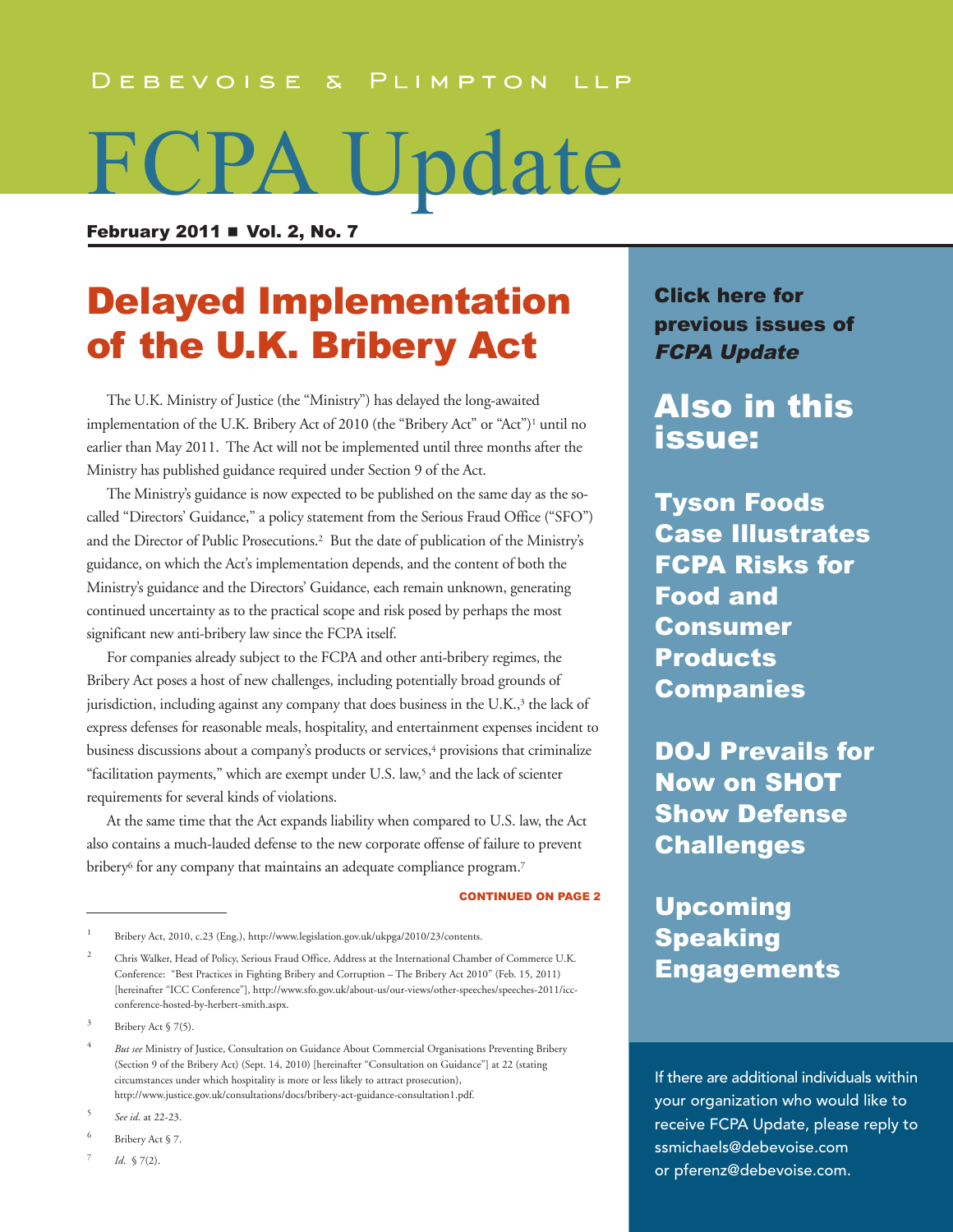#### DEBEVOISE & PLIMPTON LLP

# FCPA Update

February 2011  $\blacksquare$  Vol. 2, No. 7

# Delayed Implementation of the U.K. Bribery Act

 The U.K. Ministry of Justice (the "Ministry") has delayed the long-awaited implementation of the U.K. Bribery Act of 2010 (the "Bribery Act" or "Act")<sup>1</sup> until no earlier than May 2011. The Act will not be implemented until three months after the Ministry has published guidance required under Section 9 of the Act.

 The Ministry's guidance is now expected to be published on the same day as the socalled "Directors' Guidance," a policy statement from the Serious Fraud Office ("SFO") and the Director of Public Prosecutions. <sup>2</sup> But the date of publication of the Ministry's guidance, on which the Act's implementation depends, and the content of both the Ministry's guidance and the Directors' Guidance, each remain unknown, generating continued uncertainty as to the practical scope and risk posed by perhaps the most significant new anti-bribery law since the FCPA itself.

 For companies already subject to the FCPA and other anti-bribery regimes, the Bribery Act poses a host of new challenges, including potentially broad grounds of jurisdiction, including against any company that does business in the U.K., <sup>3</sup> the lack of express defenses for reasonable meals, hospitality, and entertainment expenses incident to business discussions about a company's products or services, <sup>4</sup> provisions that criminalize "facilitation payments," which are exempt under U.S. law, <sup>5</sup> and the lack of scienter requirements for several kinds of violations.

 At the same time that the Act expands liability when compared to U.S. law, the Act also contains a much-lauded defense to the new corporate offense of failure to prevent bribery $^6$  for any company that maintains an adequate compliance program. $^7$ 

CONTINUED ON PAgE 2

*Id.* § 7(2).

Click here for [previous](http://www.debevoise.com/newseventspubs/publications/pubslist.aspx?id=956f0a96-2673-4839-b8de-25f36e36975e&type=viewall) issues of FCPA Update

Also in this issue:

Tyson Foods Case Illustrates FCPA Risks for Food and Consumer Products [Companies](#page-3-0)

DOJ Prevails for Now on SHOT Show Defense **[Challenges](#page-6-0)** 

# Upcoming Speaking **[Engagements](#page--1-0)**

If there are additional individuals within your organization who would like to receive FCPA Update, please reply to [ssmichaels@debevoise.com](mailto:ssmichaels@debevoise.com) or [pferenz@debevoise.com.](mailto:pferenz@debevoise.com)

Bribery Act, 2010, c.23 (Eng.), [http://www.legislation.gov.uk/ukpga/2010/23/contents.](http://www.legislation.gov.uk/ukpga/2010/23/contents)

<sup>&</sup>lt;sup>2</sup> Chris Walker, Head of Policy, Serious Fraud Office, Address at the International Chamber of Commerce U.K. Conference: "Best Practices in Fighting Bribery and Corruption – The Bribery Act 2010" (Feb. 15, 2011) [hereinafter "ICC Conference"], [http://www.sfo.gov.uk/about-us/our-views/other-speeches/speeches-2011/icc](http://www.sfo.gov.uk/about-us/our-views/other-speeches/speeches-2011/icc-conference-hosted-by-herbert-smith.aspx)conference-[hosted-by-herbert-smith.aspx.](http://www.sfo.gov.uk/about-us/our-views/other-speeches/speeches-2011/icc-conference-hosted-by-herbert-smith.aspx)

<sup>3</sup> Bribery Act § 7(5).

<sup>4</sup> *But see* Ministry of Justice, Consultation on Guidance About Commercial Organisations Preventing Bribery (Section 9 of the Bribery Act) (Sept. 14, 2010) [hereinafter "Consultation on Guidance"] at 22 (stating circumstances under which hospitality is more or less likely to attract prosecution), [http://www.justice.gov.uk/consultations/docs/bribery-act-guidance-consultation1.pdf.](http://www.justice.gov.uk/consultations/docs/bribery-act-guidance-consultation1.pdf)

<sup>5</sup> *See id*. at 22-23.

<sup>6</sup> Bribery Act § 7.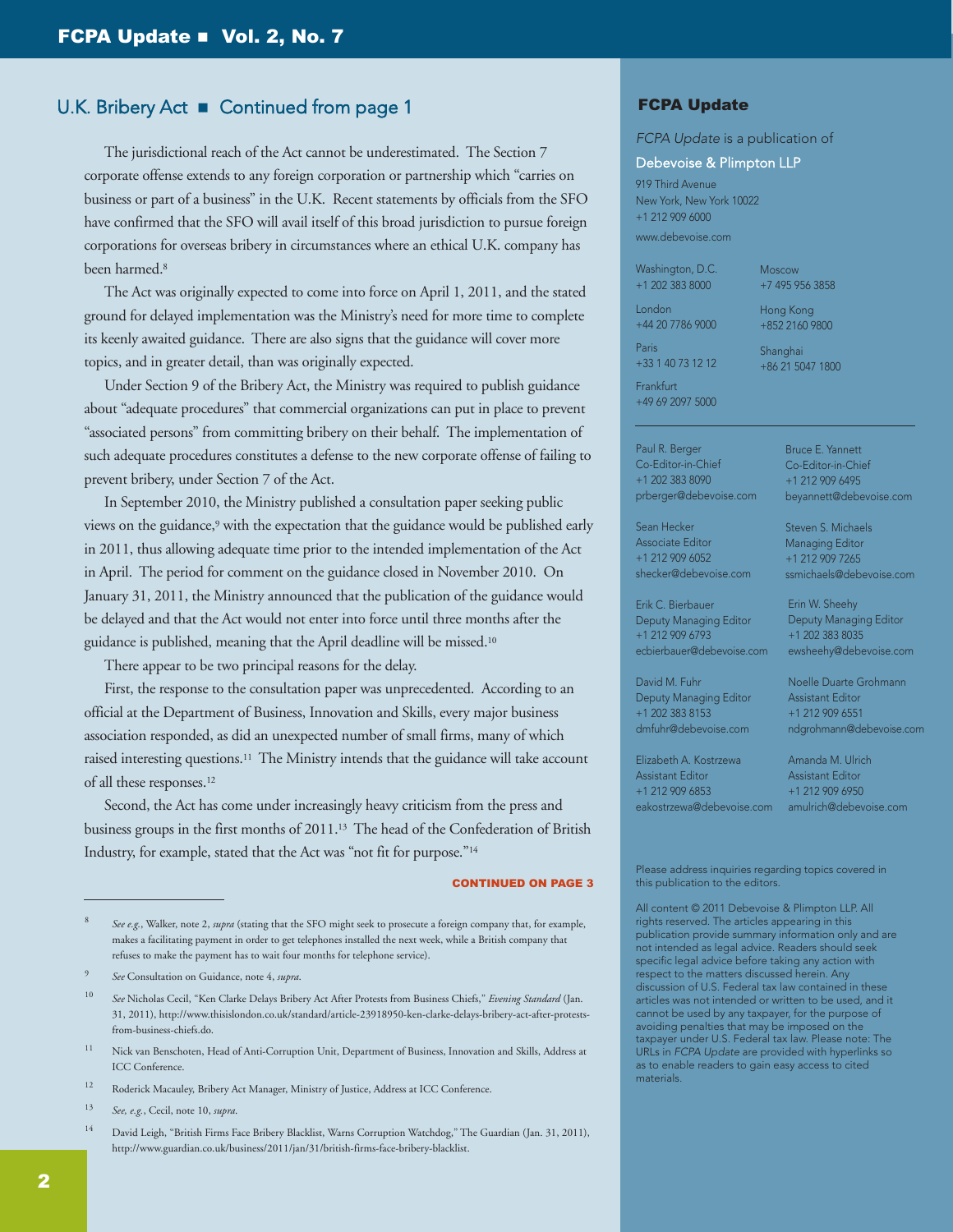#### U.K. Bribery Act ■ Continued from page 1

 The jurisdictional reach of the Act cannot be underestimated. The Section 7 corporate offense extends to any foreign corporation or partnership which "carries on business or part of a business" in the U.K. Recent statements by officials from the SFO have confirmed that the SFO will avail itself of this broad jurisdiction to pursue foreign corporations for overseas bribery in circumstances where an ethical U.K. company has been harmed. 8

 The Act was originally expected to come into force on April 1, 2011, and the stated ground for delayed implementation was the Ministry's need for more time to complete its keenly awaited guidance. There are also signs that the guidance will cover more topics, and in greater detail, than was originally expected.

 Under Section 9 of the Bribery Act, the Ministry was required to publish guidance about "adequate procedures" that commercial organizations can put in place to prevent "associated persons" from committing bribery on their behalf. The implementation of such adequate procedures constitutes a defense to the new corporate offense of failing to prevent bribery, under Section 7 of the Act.

 In September 2010, the Ministry published a consultation paper seeking public views on the guidance, <sup>9</sup> with the expectation that the guidance would be published early in 2011, thus allowing adequate time prior to the intended implementation of the Act in April. The period for comment on the guidance closed in November 2010. On January 31, 2011, the Ministry announced that the publication of the guidance would be delayed and that the Act would not enter into force until three months after the guidance is published, meaning that the April deadline will be missed. 10

There appear to be two principal reasons for the delay.

 First, the response to the consultation paper was unprecedented. According to an official at the Department of Business, Innovation and Skills, every major business association responded, as did an unexpected number of small firms, many of which raised interesting questions. <sup>11</sup> The Ministry intends that the guidance will take account of all these responses. 12

 Second, the Act has come under increasingly heavy criticism from the press and business groups in the first months of 2011. <sup>13</sup> The head of the Confederation of British Industry, for example, stated that the Act was "not fit for purpose."14

#### CONTINUED ON PAgE 3

- 10 *See* Nicholas Cecil, "Ken Clarke Delays Bribery Act After Protests from Business Chiefs," *Evening Standard* (Jan. 31, 2011), [http://www.thisislondon.co.uk/standard/article-23918950-ken-clarke-delays-bribery-act-after-protests](http://www.thisislondon.co.uk/standard/article-23918950-ken-clarke-delays-bribery-act-after-protests-from-business-chiefs.do)from[-business-chiefs.do.](http://www.thisislondon.co.uk/standard/article-23918950-ken-clarke-delays-bribery-act-after-protests-from-business-chiefs.do)
- <sup>11</sup> Nick van Benschoten, Head of Anti-Corruption Unit, Department of Business, Innovation and Skills, Address at ICC Conference.
- <sup>12</sup> Roderick Macauley, Bribery Act Manager, Ministry of Justice, Address at ICC Conference.
- 13 *See, e.g.*, Cecil, note 10, *supra*.
- 14 David Leigh, "British Firms Face Bribery Blacklist, Warns Corruption Watchdog," The Guardian (Jan. 31, 2011), [http://www.guardian.co.uk/business/2011/jan/31/british-firms-face-bribery-blacklist.](http://www.guardian.co.uk/business/2011/jan/31/british-firms-face-bribery-blacklist)

#### FCPA Update

#### *FCPA Update* is a publication of

#### Debevoise & Plimpton LLP

919 Third Avenue New York, New York 10022 +1 212 909 6000 [www.debevoise.com](http://www.debevoise.com)

Washington, D.C. +1 202 383 8000

London +44 20 7786 9000 Moscow +7 495 956 3858

Hong Kong +852 2160 9800

Paris +33 1 40 73 12 12

Shanghai +86 21 5047 1800

Frankfurt +49 69 2097 5000

Paul R. Berger Co-Editor-in-Chief +1 202 383 8090 [prberger@debevoise.com](mailto:prberger@debevoise.com)

Bruce E. Yannett Co-Editor-in-Chief +1 212 909 6495 [beyannett@debevoise.com](mailto:beyannett@debevoise.com)

Steven S. Michaels Managing Editor +1 212 909 7265 [ssmichaels@debevoise.com](mailto:ssmichaels@debevoise.com)

Erin W. Sheehy Deputy Managing Editor +1 202 383 8035 [ewsheehy@debevoise.com](mailto:ewsheehy@debevoise.com)

Sean Hecker Associate Editor +1 212 909 6052 [shecker@debevoise.com](mailto:shecker@debevoise.com)

Erik C. Bierbauer Deputy Managing Editor +1 212 909 6793 [ecbierbauer@debevoise.com](mailto:ecbierbauer@debevoise.com)

David M. Fuhr Deputy Managing Editor +1 202 383 8153 [dmfuhr@debevoise.com](mailto:dmfuhr@debevoise.com)

Elizabeth A. Kostrzewa Assistant Editor +1 212 909 6853

[eakostrzewa@debevoise.com](mailto:eakostrzewa@debevoise.com) Amanda M. Ulrich Assistant Editor +1 212 909 6950 [amulrich@debevoise.com](mailto:amulrich@debevoise.com)

Noelle Duarte Grohmann Assistant Editor +1 212 909 6551

[ndgrohmann@debevoise.com](mailto:ndgrohmann@debevoise.com)

Please address inquiries regarding topics covered in this publication to the editors.

All content © 2011 Debevoise & Plimpton LLP. All rights reserved. The articles appearing in this publication provide summary information only and are not intended as legal advice. Readers should seek specific legal advice before taking any action with respect to the matters discussed herein. Any discussion of U.S. Federal tax law contained in these articles was not intended or written to be used, and it cannot be used by any taxpayer, for the purpose of avoiding penalties that may be imposed on the taxpayer under U.S. Federal tax law. Please note: The URLs in *FCPA Update* are provided with hyperlinks so as to enable readers to gain easy access to cited materials.

<sup>8</sup> *See e.g.*, Walker, note 2, *supra* (stating that the SFO might seek to prosecute a foreign company that, for example, makes a facilitating payment in order to get telephones installed the next week, while a British company that refuses to make the payment has to wait four months for telephone service).

<sup>9</sup> *See* Consultation on Guidance, note 4, *supra*.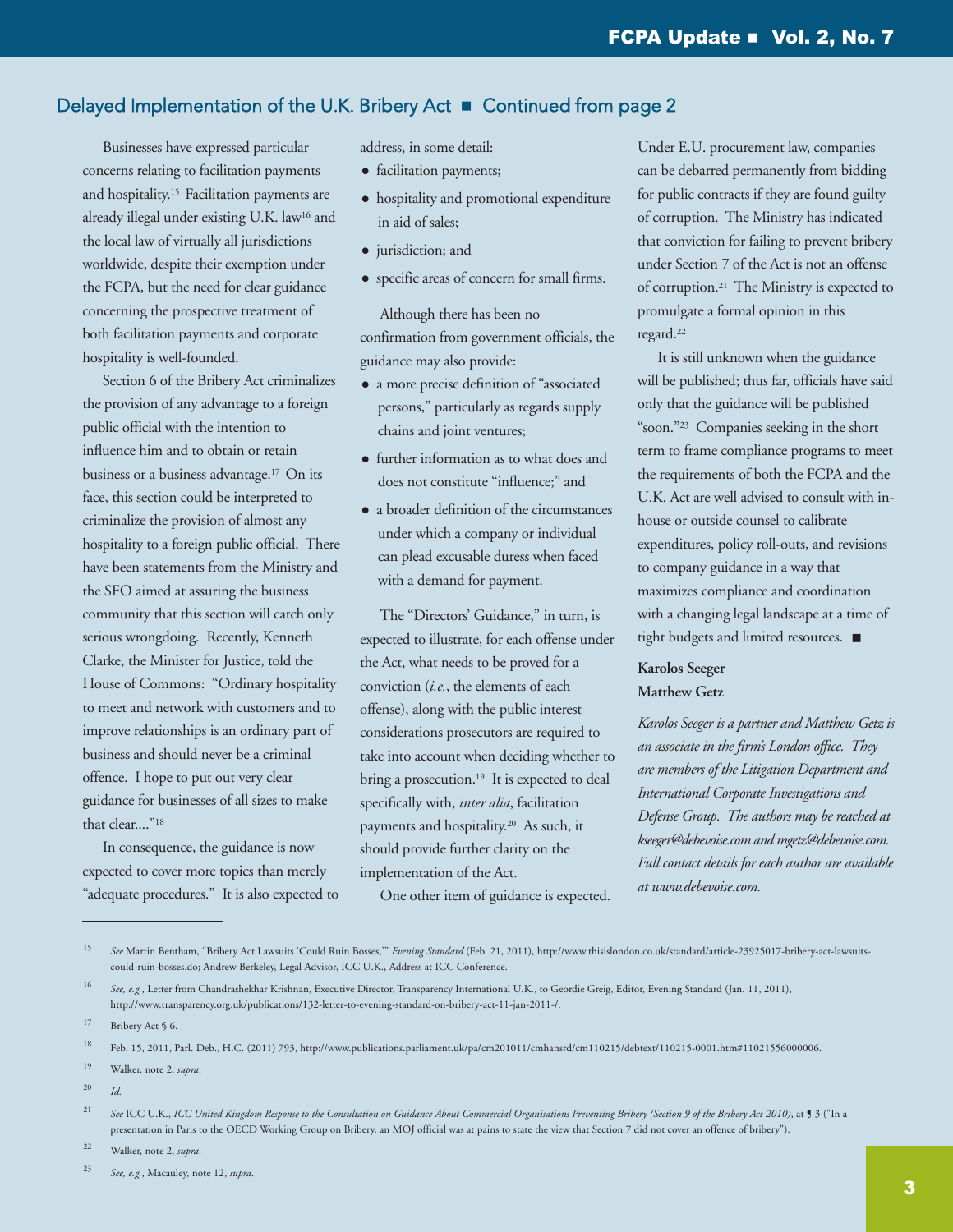## Delayed Implementation of the U.K. Bribery Act ■ Continued from page 2

 Businesses have expressed particular concerns relating to facilitation payments and hospitality. <sup>15</sup> Facilitation payments are already illegal under existing U.K. law<sup>16</sup> and the local law of virtually all jurisdictions worldwide, despite their exemption under the FCPA, but the need for clear guidance concerning the prospective treatment of both facilitation payments and corporate hospitality is well-founded.

 Section 6 of the Bribery Act criminalizes the provision of any advantage to a foreign public official with the intention to influence him and to obtain or retain business or a business advantage. <sup>17</sup> On its face, this section could be interpreted to criminalize the provision of almost any hospitality to a foreign public official. There have been statements from the Ministry and the SFO aimed at assuring the business community that this section will catch only serious wrongdoing. Recently, Kenneth Clarke, the Minister for Justice, told the House of Commons: "Ordinary hospitality to meet and network with customers and to improve relationships is an ordinary part of business and should never be a criminal offence. I hope to put out very clear guidance for businesses of all sizes to make that clear...."18

 In consequence, the guidance is now expected to cover more topics than merely "adequate procedures." It is also expected to address, in some detail:

- facilitation payments;
- $\bullet$  hospitality and promotional expenditure in aid of sales;
- jurisdiction; and
- specific areas of concern for small firms.

 Although there has been no confirmation from government officials, the guidance may also provide:

- <sup>l</sup> a more precise definition of "associated persons," particularly as regards supply chains and joint ventures;
- further information as to what does and does not constitute "influence;" and
- a broader definition of the circumstances under which a company or individual can plead excusable duress when faced with a demand for payment.

 The "Directors' Guidance," in turn, is expected to illustrate, for each offense under the Act, what needs to be proved for a conviction (*i.e.*, the elements of each offense), along with the public interest considerations prosecutors are required to take into account when deciding whether to bring a prosecution. <sup>19</sup> It is expected to deal specifically with, *inter alia*, facilitation payments and hospitality. <sup>20</sup> As such, it should provide further clarity on the implementation of the Act.

One other item of guidance is expected.

Under E.U. procurement law, companies can be debarred permanently from bidding for public contracts if they are found guilty of corruption. The Ministry has indicated that conviction for failing to prevent bribery under Section 7 of the Act is not an offense of corruption. <sup>21</sup> The Ministry is expected to promulgate a formal opinion in this regard. 22

 It is still unknown when the guidance will be published; thus far, officials have said only that the guidance will be published "soon."23 Companies seeking in the short term to frame compliance programs to meet the requirements of both the FCPA and the U.K. Act are well advised to consult with inhouse or outside counsel to calibrate expenditures, policy roll-outs, and revisions to company guidance in a way that maximizes compliance and coordination with a changing legal landscape at a time of tight budgets and limited resources.  $\blacksquare$ 

#### **Karolos Seeger Matthew Getz**

*Karolos Seeger is a partner and Matthew Getz is an associate in the firm's London office. They are members of the Litigation Department and International Corporate Investigations and Defense Group. The authors may be reached at [kseeger@debevoise.com](mailto:kseeger@debevoise.com) and [mgetz@debevoise.com.](mailto:mgetz@debevoise.com) Full contact details for each author are available at [www.debevoise.com.](http://www.debevoise.com)*

20 *Id.*

<sup>15</sup> *See* Martin Bentham, "Bribery Act Lawsuits 'Could Ruin Bosses,'" *Evening Standard* (Feb. 21, 2011), [http://www.thisislondon.co.uk/standard/article-23925017-bribery-act-lawsuits](http://www.thisislondon.co.uk/standard/article-23925017-bribery-act-lawsuits-could-ruin-bosses.do)could[-ruin-bosses.do;](http://www.thisislondon.co.uk/standard/article-23925017-bribery-act-lawsuits-could-ruin-bosses.do) Andrew Berkeley, Legal Advisor, ICC U.K., Address at ICC Conference.

<sup>16</sup> *See, e.g.*, Letter from Chandrashekhar Krishnan, Executive Director, Transparency International U.K., to Geordie Greig, Editor, Evening Standard (Jan. 11, 2011), [http://www.transparency.org.uk/publications/132-letter-to-evening-standard-on-bribery-act-11-jan-2011-/.](http://www.transparency.org.uk/publications/132-letter-to-evening-standard-on-bribery-act-11-jan-2011-/)

[<sup>17</sup>](http://www.transparency.org.uk/publications/132-letter-to-evening-standard-on-bribery-act-11-jan-2011-/.17) Bribery Act § 6.

<sup>18</sup> Feb. 15, 2011, Parl. Deb., H.C. (2011) 793, [http://www.publications.parliament.uk/pa/cm201011/cmhansrd/cm110215/debtext/110215-0001.htm#11021556000006.](http://www.publications.parliament.uk/pa/cm201011/cmhansrd/cm110215/debtext/110215-0001.htm#11021556000006)

<sup>19</sup> Walker, note 2, *supra*.

<sup>&</sup>lt;sup>21</sup> See ICC U.K., ICC United Kingdom Response to the Consultation on Guidance About Commercial Organisations Preventing Bribery (Section 9 of the Bribery Act 2010), at 1 3 ("In a presentation in Paris to the OECD Working Group on Bribery, an MOJ official was at pains to state the view that Section 7 did not cover an offence of bribery").

<sup>22</sup> Walker, note 2, *supra*.

<sup>23</sup> *See, e.g.*, Macauley, note 12, *supra*.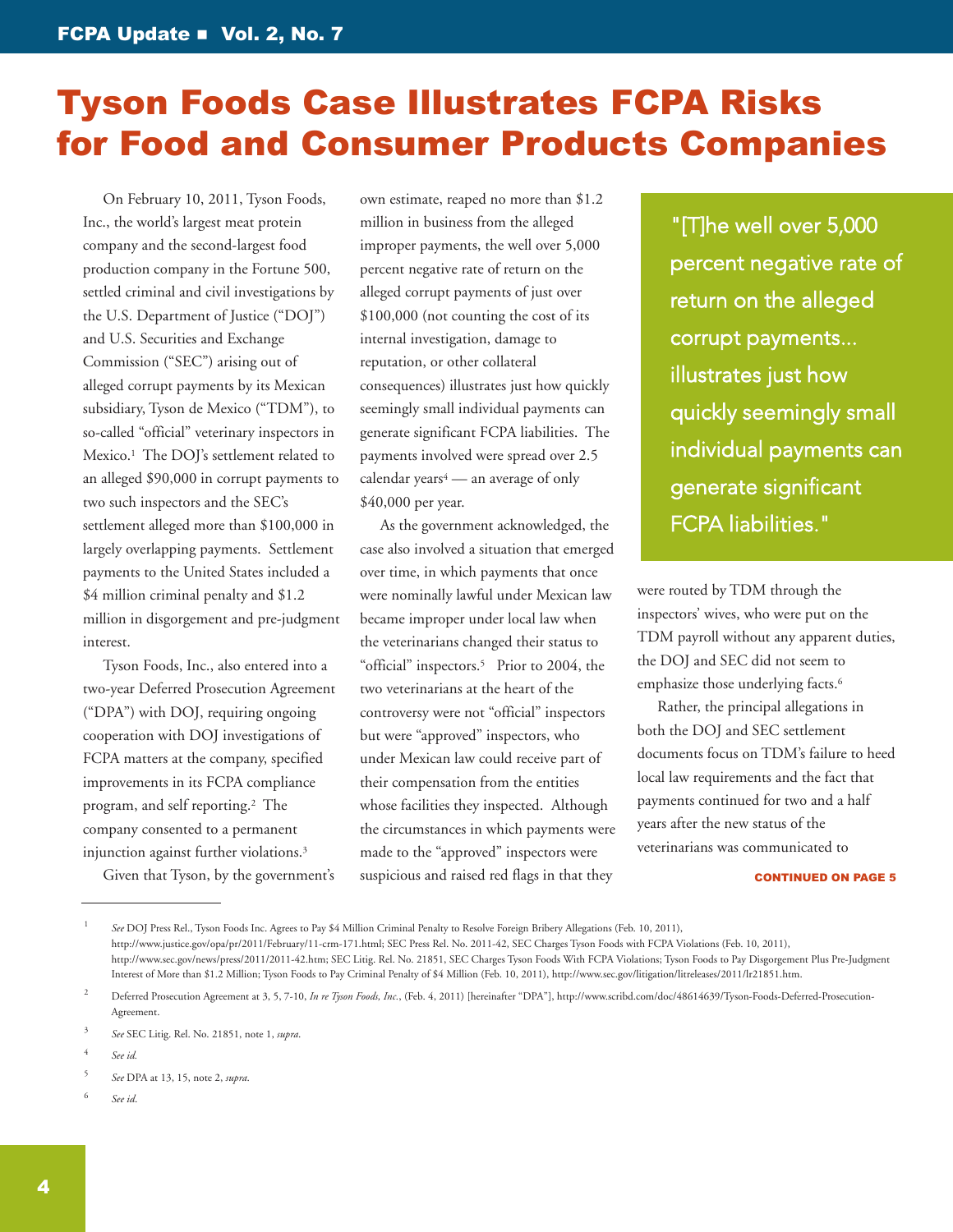# <span id="page-3-0"></span>Tyson Foods Case Illustrates FCPA Risks for Food and Consumer Products Companies

 On February 10, 2011, Tyson Foods, Inc., the world's largest meat protein company and the second-largest food production company in the Fortune 500, settled criminal and civil investigations by the U.S. Department of Justice ("DOJ") and U.S. Securities and Exchange Commission ("SEC") arising out of alleged corrupt payments by its Mexican subsidiary, Tyson de Mexico ("TDM"), to so-called "official" veterinary inspectors in Mexico. <sup>1</sup> The DOJ's settlement related to an alleged \$90,000 in corrupt payments to two such inspectors and the SEC's settlement alleged more than \$100,000 in largely overlapping payments. Settlement payments to the United States included a \$4 million criminal penalty and \$1.2 million in disgorgement and pre-judgment interest.

 Tyson Foods, Inc., also entered into a two-year Deferred Prosecution Agreement ("DPA") with DOJ, requiring ongoing cooperation with DOJ investigations of FCPA matters at the company, specified improvements in its FCPA compliance program, and self reporting. <sup>2</sup> The company consented to a permanent injunction against further violations. 3

Given that Tyson, by the government's

own estimate, reaped no more than \$1.2 million in business from the alleged improper payments, the well over 5,000 percent negative rate of return on the alleged corrupt payments of just over \$100,000 (not counting the cost of its internal investigation, damage to reputation, or other collateral consequences) illustrates just how quickly seemingly small individual payments can generate significant FCPA liabilities. The payments involved were spread over 2.5 calendar years<sup>4</sup> — an average of only \$40,000 per year.

 As the government acknowledged, the case also involved a situation that emerged over time, in which payments that once were nominally lawful under Mexican law became improper under local law when the veterinarians changed their status to "official" inspectors. <sup>5</sup> Prior to 2004, the two veterinarians at the heart of the controversy were not "official" inspectors but were "approved" inspectors, who under Mexican law could receive part of their compensation from the entities whose facilities they inspected. Although the circumstances in which payments were made to the "approved" inspectors were suspicious and raised red flags in that they

"[T]he well over 5,000 percent negative rate of return on the alleged corrupt payments... illustrates just how quickly seemingly small individual payments can generate significant FCPA liabilities."

were routed by TDM through the inspectors' wives, who were put on the TDM payroll without any apparent duties, the DOJ and SEC did not seem to emphasize those underlying facts. 6

 Rather, the principal allegations in both the DOJ and SEC settlement documents focus on TDM's failure to heed local law requirements and the fact that payments continued for two and a half years after the new status of the veterinarians was communicated to

CONTINUED ON PAgE 5

6 *See id*.

<sup>1</sup> *See* DOJ Press Rel., Tyson Foods Inc. Agrees to Pay \$4 Million Criminal Penalty to Resolve Foreign Bribery Allegations (Feb. 10, 2011), [http://www.justice.gov/opa/pr/2011/February/11-crm-171.html;](http://www.justice.gov/opa/pr/2011/February/11-crm-171.html) SEC Press Rel. No. 2011-42, SEC Charges Tyson Foods with FCPA Violations (Feb. 10, 2011), [http://www.sec.gov/news/press/2011/2011-42.htm;](http://www.sec.gov/news/press/2011/2011-42.htm) SEC Litig. Rel. No. 21851, SEC Charges Tyson Foods With FCPA Violations; Tyson Foods to Pay Disgorgement Plus Pre-Judgment Interest of More than \$1.2 Million; Tyson Foods to Pay Criminal Penalty of \$4 Million (Feb. 10, 2011), [http://www.sec.gov/litigation/litreleases/2011/lr21851.htm.](http://www.sec.gov/litigation/litreleases/2011/lr21851.htm)

<sup>2</sup> Deferred Prosecution Agreement at 3, 5, 7-10, *In re Tyson Foods, Inc.*, (Feb. 4, 2011) [hereinafter "DPA"], [http://www.scribd.com/doc/48614639/Tyson-Foods-Deferred-Prosecution-](http://www.scribd.com/doc/48614639/Tyson-Foods-Deferred-Prosecution-Agreement)[Agreement.](http://www.scribd.com/doc/48614639/Tyson-Foods-Deferred-Prosecution-Agreement)

<sup>3</sup> *See* SEC Litig. Rel. No. 21851, note 1, *supra*.

<sup>4</sup> *See id.*

<sup>5</sup> *See* DPA at 13, 15, note 2, *supra*.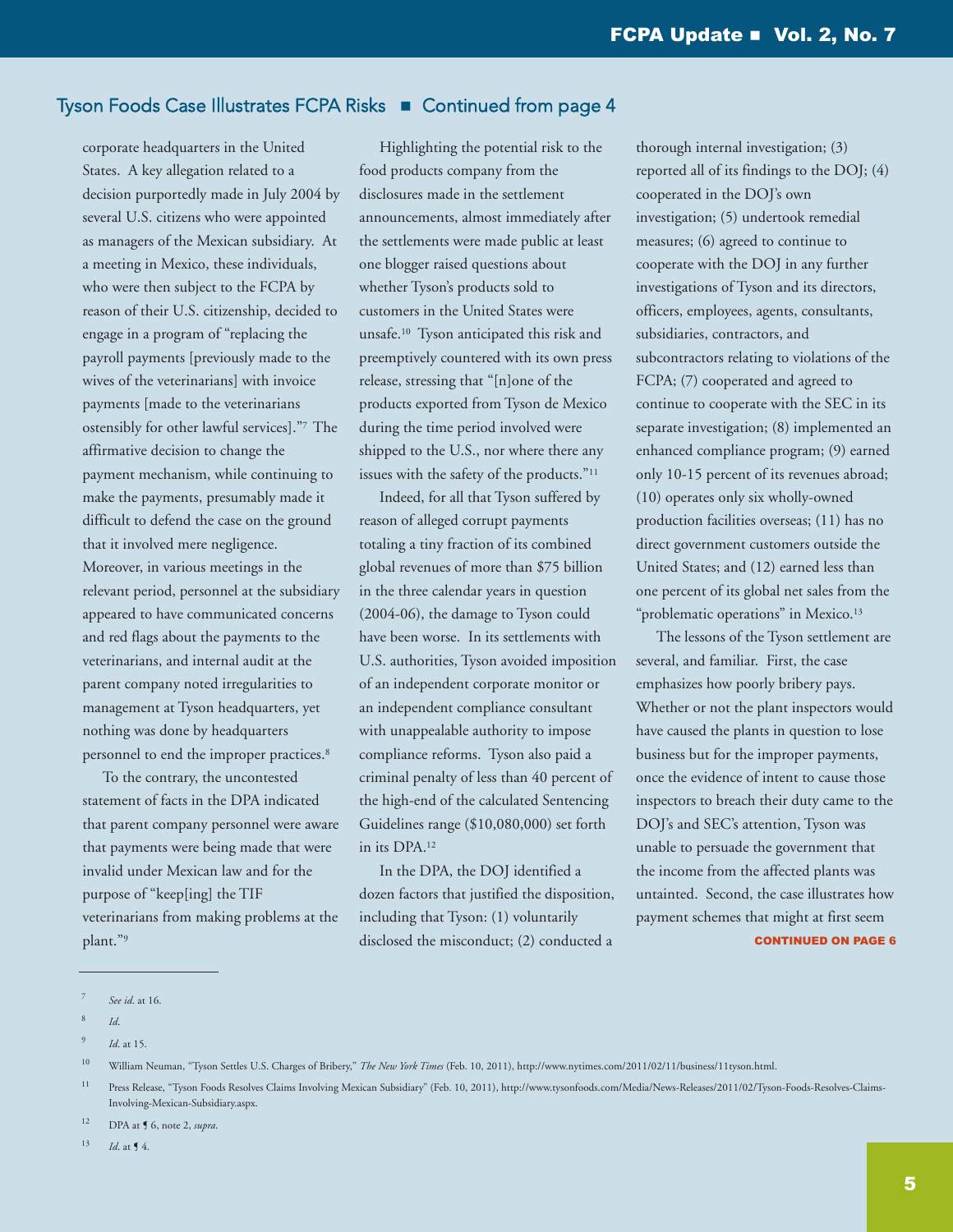# Tyson Foods Case Illustrates FCPA Risks **n** Continued from page 4

corporate headquarters in the United States. A key allegation related to a decision purportedly made in July 2004 by several U.S. citizens who were appointed as managers of the Mexican subsidiary. At a meeting in Mexico, these individuals, who were then subject to the FCPA by reason of their U.S. citizenship, decided to engage in a program of "replacing the payroll payments [previously made to the wives of the veterinarians] with invoice payments [made to the veterinarians ostensibly for other lawful services]."7 The affirmative decision to change the payment mechanism, while continuing to make the payments, presumably made it difficult to defend the case on the ground that it involved mere negligence. Moreover, in various meetings in the relevant period, personnel at the subsidiary appeared to have communicated concerns and red flags about the payments to the veterinarians, and internal audit at the parent company noted irregularities to management at Tyson headquarters, yet nothing was done by headquarters personnel to end the improper practices. 8

 To the contrary, the uncontested statement of facts in the DPA indicated that parent company personnel were aware that payments were being made that were invalid under Mexican law and for the purpose of "keep[ing] the TIF veterinarians from making problems at the plant."9

 Highlighting the potential risk to the food products company from the disclosures made in the settlement announcements, almost immediately after the settlements were made public at least one blogger raised questions about whether Tyson's products sold to customers in the United States were unsafe. <sup>10</sup> Tyson anticipated this risk and preemptively countered with its own press release, stressing that "[n]one of the products exported from Tyson de Mexico during the time period involved were shipped to the U.S., nor where there any issues with the safety of the products."11

 Indeed, for all that Tyson suffered by reason of alleged corrupt payments totaling a tiny fraction of its combined global revenues of more than \$75 billion in the three calendar years in question (2004-06), the damage to Tyson could have been worse. In its settlements with U.S. authorities, Tyson avoided imposition of an independent corporate monitor or an independent compliance consultant with unappealable authority to impose compliance reforms. Tyson also paid a criminal penalty of less than 40 percent of the high-end of the calculated Sentencing Guidelines range (\$10,080,000) set forth in its DPA. 12

 In the DPA, the DOJ identified a dozen factors that justified the disposition, including that Tyson: (1) voluntarily disclosed the misconduct; (2) conducted a

thorough internal investigation; (3) reported all of its findings to the DOJ; (4) cooperated in the DOJ's own investigation; (5) undertook remedial measures; (6) agreed to continue to cooperate with the DOJ in any further investigations of Tyson and its directors, officers, employees, agents, consultants, subsidiaries, contractors, and subcontractors relating to violations of the FCPA; (7) cooperated and agreed to continue to cooperate with the SEC in its separate investigation; (8) implemented an enhanced compliance program; (9) earned only 10-15 percent of its revenues abroad; (10) operates only six wholly-owned production facilities overseas; (11) has no direct government customers outside the United States; and (12) earned less than one percent of its global net sales from the "problematic operations" in Mexico.<sup>13</sup>

 The lessons of the Tyson settlement are several, and familiar. First, the case emphasizes how poorly bribery pays. Whether or not the plant inspectors would have caused the plants in question to lose business but for the improper payments, once the evidence of intent to cause those inspectors to breach their duty came to the DOJ's and SEC's attention, Tyson was unable to persuade the government that the income from the affected plants was untainted. Second, the case illustrates how payment schemes that might at first seem CONTINUED ON PAgE 6

<sup>7</sup> *See id*. at 16.

<sup>8</sup> *Id*.

<sup>9</sup> *Id*. at 15.

<sup>10</sup> William Neuman, "Tyson Settles U.S. Charges of Bribery," *The New York Times* (Feb. 10, 2011), [http://www.nytimes.com/2011/02/11/business/11tyson.html.](http://www.nytimes.com/2011/02/11/business/11tyson.html)

<sup>11</sup> Press Release, "Tyson Foods Resolves Claims Involving Mexican Subsidiary" (Feb. 10, 2011), [http://www.tysonfoods.com/Media/News-Releases/2011/02/Tyson-Foods-Resolves-Claims-](http://www.tysonfoods.com/Media/News-Releases/2011/02/Tyson-Foods-Resolves-Claims-Involving-Mexican-Subsidiary.aspx)[Involving-Mexican-Subsidiary.aspx.](http://www.tysonfoods.com/Media/News-Releases/2011/02/Tyson-Foods-Resolves-Claims-Involving-Mexican-Subsidiary.aspx)

<sup>12</sup> DPA at ¶ 6, note 2, *supra*.

 $13$  *Id.* at **[4.**]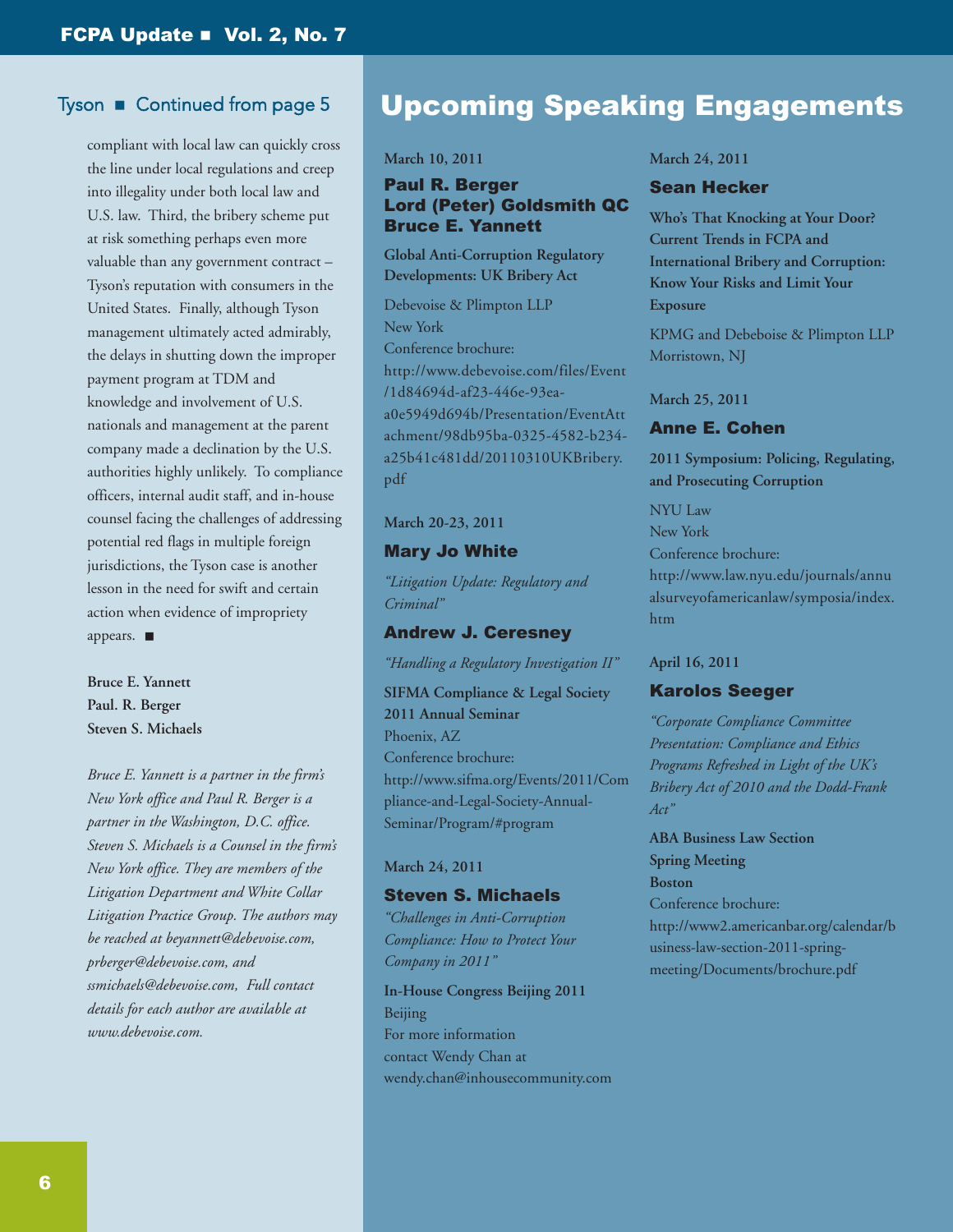## Tyson  $\blacksquare$  Continued from page 5

compliant with local law can quickly cross the line under local regulations and creep into illegality under both local law and U.S. law. Third, the bribery scheme put at risk something perhaps even more valuable than any government contract – Tyson's reputation with consumers in the United States. Finally, although Tyson management ultimately acted admirably, the delays in shutting down the improper payment program at TDM and knowledge and involvement of U.S. nationals and management at the parent company made a declination by the U.S. authorities highly unlikely. To compliance officers, internal audit staff, and in-house counsel facing the challenges of addressing potential red flags in multiple foreign jurisdictions, the Tyson case is another lesson in the need for swift and certain action when evidence of impropriety appears.  $\blacksquare$ 

**Bruce E. Yannett Paul. R. Berger Steven S. Michaels**

*Bruce E. Yannett is a partner in the firm's New York office and Paul R. Berger is a partner in the Washington, D.C. office. Steven S. Michaels is a Counsel in the firm's New York office. They are members of the Litigation Department and White Collar Litigation Practice Group. The authors may be reached at [beyannett@debevoise.com,](mailto:beyannett@debevoise.com) [prberger@debevoise.com,](mailto:prberger@debevoise.com) and [ssmichaels@debevoise.com,](mailto:ssmichaels@debevoise.com) Full contact details for each author are available at [www.debevoise.com.](http://www.debevoise.com)*

# Upcoming Speaking Engagements

**March 10, 2011**

#### Paul R. Berger **Lord (Peter) Goldsmith QC** Bruce E. Yannett

**Global Anti-Corruption Regulatory Developments: UK Bribery Act**

Debevoise & Plimpton LLP New York Conference brochure: http://www.debevoise.com/files/Event /1d84694d-af23-446e-93eaa0e5949d694b/Presentation/EventAtt [achment/98db95ba-0325-4582-b234](http://www.debevoise.com/files/Event/1d84694d-af23-446e-93ea-a0e5949d694b/Presentation/EventAttachment/98db95ba-0325-4582-b234-a25b41c481dd/20110310UKBribery.pdf) a25b41c481dd/20110310UKBribery. pdf

#### **March 20-23, 2011**

#### Mary Jo White

*"Litigation Update: Regulatory and Criminal"*

#### Andrew J. Ceresney

*"Handling a Regulatory Investigation II"*

**SIFMA Compliance & Legal Society 2011 Annual Seminar** Phoenix, AZ Conference brochure: [http://www.sifma.org/Events/2011/Com](http://www.sifma.org/Events/2011/Compliance-and-Legal-Society-Annual-Seminar/Program/#program) pliance-and-Legal-Society-Annual-Seminar/Program/#program

#### **March 24, 2011**

#### Steven S. Michaels

*"Challenges in Anti-Corruption Compliance: How to Protect Your Company in 2011"*

**In-House Congress Beijing 2011** Beijing For more information contact Wendy Chan at [wendy.chan@inhousecommunity.com](mailto:wendy.chan@inhousecommunity.com)

#### **March 24, 2011**

#### Sean Hecker

**Who's That Knocking at Your Door? Current Trends in FCPA and International Bribery and Corruption: Know Your Risks and Limit Your Exposure**

KPMG and Debeboise & Plimpton LLP Morristown, NJ

**March 25, 2011**

#### Anne E. Cohen

**2011 Symposium: Policing, Regulating, and Prosecuting Corruption**

NYU Law New York Conference brochure: http://www.law.nyu.edu/journals/annu [alsurveyofamericanlaw/symposia/index.](http://www.law.nyu.edu/journals/annualsurveyofamericanlaw/symposia/index.htm) htm

#### **April 16, 2011**

#### Karolos Seeger

*"Corporate Compliance Committee Presentation: Compliance and Ethics Programs Refreshed in Light of the UK's Bribery Act of 2010 and the Dodd-Frank Act"*

**ABA Business Law Section Spring Meeting Boston** Conference brochure: [http://www2.americanbar.org/calendar/b](http://www2.americanbar.org/calendar/business-law-section-2011-spring-meeting/Documents/brochure.pdf) usiness-law-section-2011-springmeeting/Documents/brochure.pdf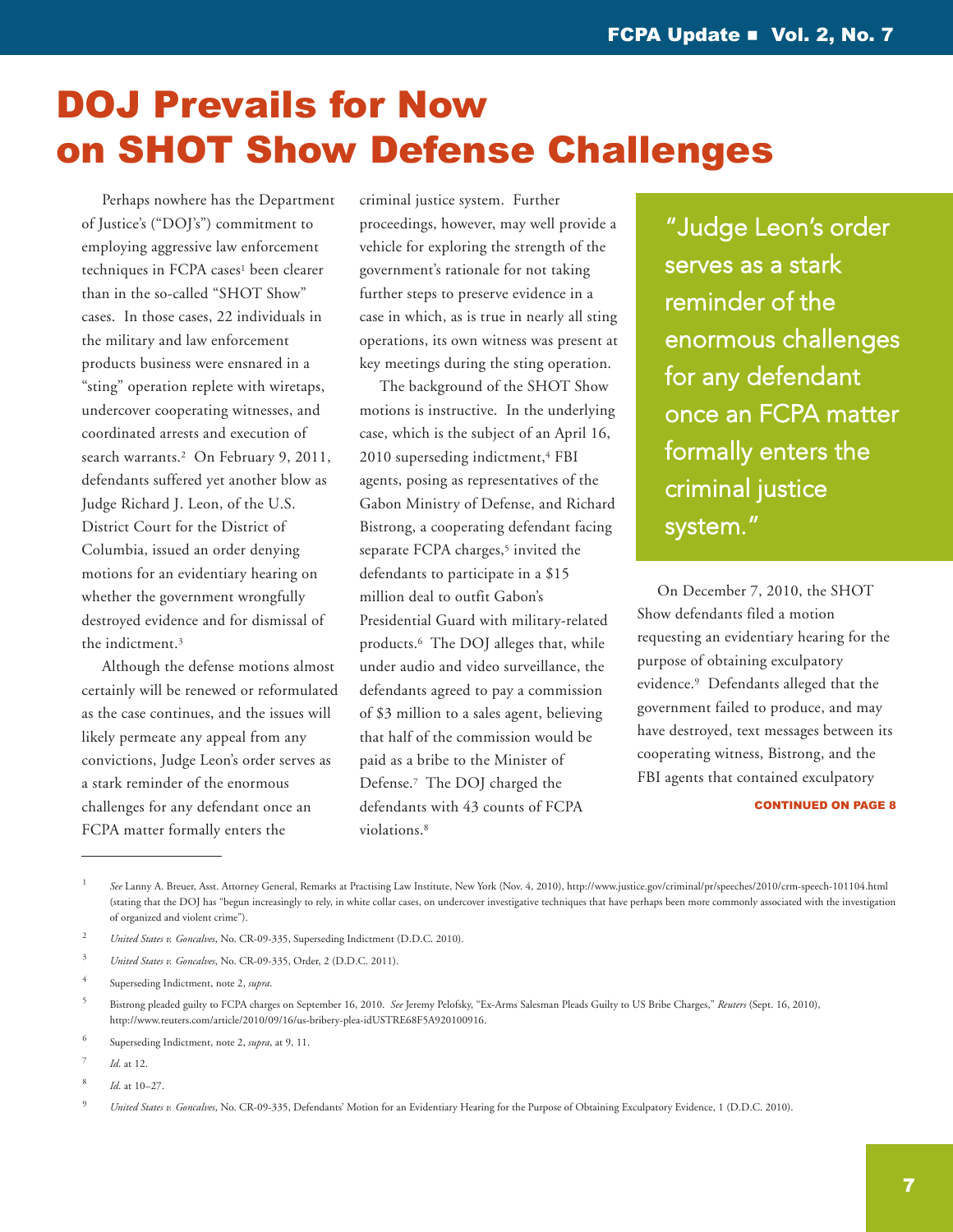# <span id="page-6-0"></span>DOJ Prevails for Now on SHOT Show Defense Challenges

 Perhaps nowhere has the Department of Justice's ("DOJ's") commitment to employing aggressive law enforcement techniques in FCPA cases<sup>1</sup> been clearer than in the so-called "SHOT Show" cases. In those cases, 22 individuals in the military and law enforcement products business were ensnared in a "sting" operation replete with wiretaps, undercover cooperating witnesses, and coordinated arrests and execution of search warrants.<sup>2</sup> On February 9, 2011, defendants suffered yet another blow as Judge Richard J. Leon, of the U.S. District Court for the District of Columbia, issued an order denying motions for an evidentiary hearing on whether the government wrongfully destroyed evidence and for dismissal of the indictment.3

 Although the defense motions almost certainly will be renewed or reformulated as the case continues, and the issues will likely permeate any appeal from any convictions, Judge Leon's order serves as a stark reminder of the enormous challenges for any defendant once an FCPA matter formally enters the

criminal justice system. Further proceedings, however, may well provide a vehicle for exploring the strength of the government's rationale for not taking further steps to preserve evidence in a case in which, as is true in nearly all sting operations, its own witness was present at key meetings during the sting operation.

 The background of the SHOT Show motions is instructive. In the underlying case, which is the subject of an April 16, 2010 superseding indictment,<sup>4</sup> FBI agents, posing as representatives of the Gabon Ministry of Defense, and Richard Bistrong, a cooperating defendant facing separate FCPA charges,<sup>5</sup> invited the defendants to participate in a \$15 million deal to outfit Gabon's Presidential Guard with military-related products.6 The DOJ alleges that, while under audio and video surveillance, the defendants agreed to pay a commission of \$3 million to a sales agent, believing that half of the commission would be paid as a bribe to the Minister of Defense.7 The DOJ charged the defendants with 43 counts of FCPA violations.8

"Judge Leon's order serves as a stark reminder of the enormous challenges for any defendant once an FCPA matter formally enters the criminal justice system."

 On December 7, 2010, the SHOT Show defendants filed a motion requesting an evidentiary hearing for the purpose of obtaining exculpatory evidence.9 Defendants alleged that the government failed to produce, and may have destroyed, text messages between its cooperating witness, Bistrong, and the FBI agents that contained exculpatory

#### CONTINUED ON PAgE 8

<sup>1</sup> *See* Lanny A. Breuer, Asst. Attorney General, Remarks at Practising Law Institute, New York (Nov. 4, 2010), <http://www.justice.gov/criminal/pr/speeches/2010/crm-speech-101104.html> (stating that the DOJ has "begun increasingly to rely, in white collar cases, on undercover investigative techniques that have perhaps been more commonly associated with the investigation of organized and violent crime").

<sup>2</sup> *United States v. Goncalves*, No. CR-09-335, Superseding Indictment (D.D.C. 2010).

<sup>3</sup> *United States v. Goncalves*, No. CR-09-335, Order, 2 (D.D.C. 2011).

<sup>4</sup> Superseding Indictment, note 2, *supra*.

<sup>5</sup> Bistrong pleaded guilty to FCPA charges on September 16, 2010. *See* Jeremy Pelofsky, "Ex-Arms Salesman Pleads Guilty to US Bribe Charges," *Reuters* (Sept. 16, 2010), [http://www.reuters.com/article/2010/09/16/us-bribery-plea-idUSTRE68F5A920100916.](http://www.reuters.com/article/2010/09/16/us-bribery-plea-idUSTRE68F5A920100916)

<sup>6</sup> Superseding Indictment, note 2, *supra*, at 9, 11.

*Id.* at 12.

<sup>8</sup> *Id*. at 10–27.

<sup>9</sup> *United States v. Goncalves*, No. CR-09-335, Defendants' Motion for an Evidentiary Hearing for the Purpose of Obtaining Exculpatory Evidence, 1 (D.D.C. 2010).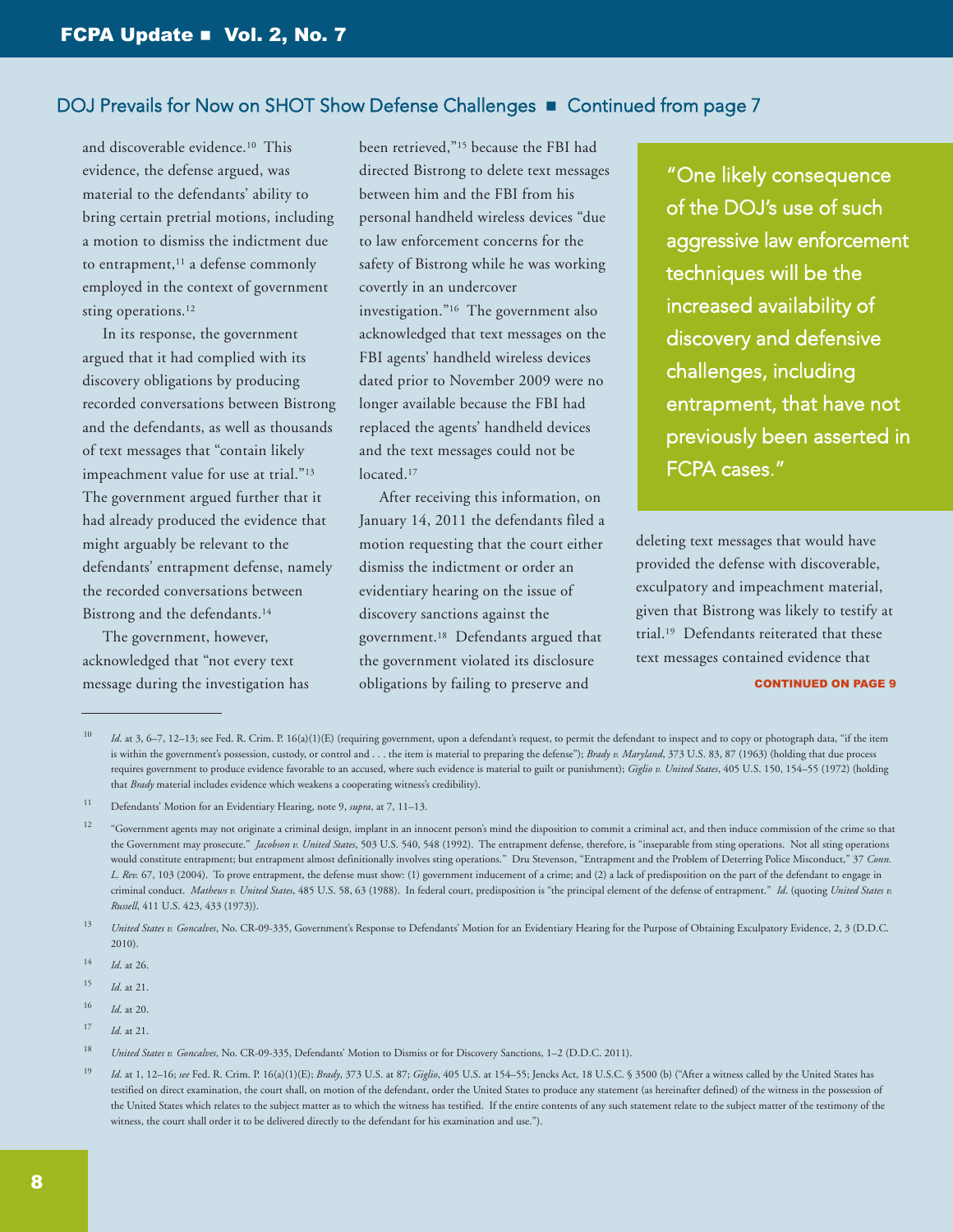# DOJ Prevails for Now on SHOT Show Defense Challenges  $\blacksquare$  Continued from page 7

and discoverable evidence.<sup>10</sup> This evidence, the defense argued, was material to the defendants' ability to bring certain pretrial motions, including a motion to dismiss the indictment due to entrapment,<sup>11</sup> a defense commonly employed in the context of government sting operations.<sup>12</sup>

 In its response, the government argued that it had complied with its discovery obligations by producing recorded conversations between Bistrong and the defendants, as well as thousands of text messages that "contain likely impeachment value for use at trial."13 The government argued further that it had already produced the evidence that might arguably be relevant to the defendants' entrapment defense, namely the recorded conversations between Bistrong and the defendants.14

 The government, however, acknowledged that "not every text message during the investigation has been retrieved,"15 because the FBI had directed Bistrong to delete text messages between him and the FBI from his personal handheld wireless devices "due to law enforcement concerns for the safety of Bistrong while he was working covertly in an undercover investigation."16 The government also acknowledged that text messages on the FBI agents' handheld wireless devices dated prior to November 2009 were no longer available because the FBI had replaced the agents' handheld devices and the text messages could not be located.<sup>17</sup>

 After receiving this information, on January 14, 2011 the defendants filed a motion requesting that the court either dismiss the indictment or order an evidentiary hearing on the issue of discovery sanctions against the government.18 Defendants argued that the government violated its disclosure obligations by failing to preserve and

"One likely consequence of the DOJ's use of such aggressive law enforcement techniques will be the increased availability of discovery and defensive challenges, including entrapment, that have not previously been asserted in FCPA cases."

deleting text messages that would have provided the defense with discoverable, exculpatory and impeachment material, given that Bistrong was likely to testify at trial.19 Defendants reiterated that these text messages contained evidence that

#### CONTINUED ON PAgE 9

17 *Id.* at 21.

<sup>10</sup> *Id.* at 3, 6–7, 12–13; see Fed. R. Crim. P. 16(a)(1)(E) (requiring government, upon a defendant's request, to permit the defendant to inspect and to copy or photograph data, "if the item is within the government's possession, custody, or control and . . . the item is material to preparing the defense"); *Brady v. Maryland*, 373 U.S. 83, 87 (1963) (holding that due process requires government to produce evidence favorable to an accused, where such evidence is material to guilt or punishment); *Giglio v. United States*, 405 U.S. 150, 154–55 (1972) (holding that *Brady* material includes evidence which weakens a cooperating witness's credibility).

<sup>11</sup> Defendants' Motion for an Evidentiary Hearing, note 9, *supra*, at 7, 11–13.

<sup>&</sup>lt;sup>12</sup> "Government agents may not originate a criminal design, implant in an innocent person's mind the disposition to commit a criminal act, and then induce commission of the crime so that the Government may prosecute." *Jacobson v. United States*, 503 U.S. 540, 548 (1992). The entrapment defense, therefore, is "inseparable from sting operations. Not all sting operations would constitute entrapment; but entrapment almost definitionally involves sting operations." Dru Stevenson, "Entrapment and the Problem of Deterring Police Misconduct," 37 *Conn. L. Rev.* 67, 103 (2004). To prove entrapment, the defense must show: (1) government inducement of a crime; and (2) a lack of predisposition on the part of the defendant to engage in criminal conduct. Mathews v. United States, 485 U.S. 58, 63 (1988). In federal court, predisposition is "the principal element of the defense of entrapment." Id. (quoting United States v. *Russell*, 411 U.S. 423, 433 (1973)).

<sup>&</sup>lt;sup>13</sup> *United States v. Goncalves*, No. CR-09-335, Government's Response to Defendants' Motion for an Evidentiary Hearing for the Purpose of Obtaining Exculpatory Evidence, 2, 3 (D.D.C. 2010).

<sup>14</sup> *Id*. at 26.

<sup>15</sup> *Id*. at 21.

<sup>16</sup> *Id*. at 20.

<sup>18</sup> *United States v. Goncalves*, No. CR-09-335, Defendants' Motion to Dismiss or for Discovery Sanctions, 1–2 (D.D.C. 2011).

<sup>&</sup>lt;sup>19</sup> *Id.* at 1, 12–16; see Fed. R. Crim. P. 16(a)(1)(E); *Brady*, 373 U.S. at 87; *Giglio*, 405 U.S. at 154–55; Jencks Act, 18 U.S.C. § 3500 (b) ("After a witness called by the United States has testified on direct examination, the court shall, on motion of the defendant, order the United States to produce any statement (as hereinafter defined) of the witness in the possession of the United States which relates to the subject matter as to which the witness has testified. If the entire contents of any such statement relate to the subject matter of the testimony of the witness, the court shall order it to be delivered directly to the defendant for his examination and use.").